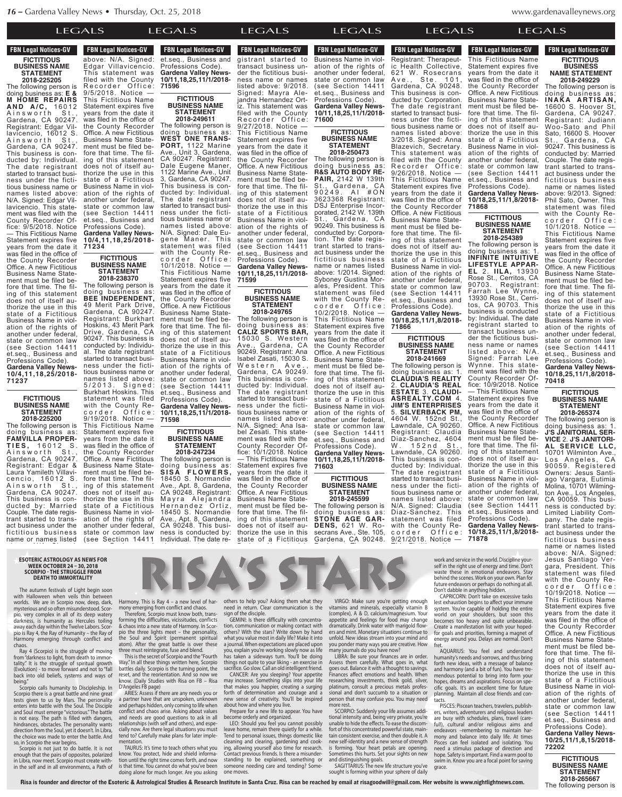### $\mathbf{A} \mathbf{I} \mathbf{C}$  The date register register  $\mathbf{I}$  $\Delta$ trans-trans-trans-trans-trans-trans-trans-trans-trans-trans-trans-trans-trans-

# **FBN Legal Notices-GV FICTITIOUS BUSINESS NAME STATEMENT 2018-225205**

The following person is doing business as: **E & M HOME REPAIRS A N D A / C ,** 1 6 0 1 2 Ainsworth St., Gardena, CA 90247. Registrant: Edgar Villavicencio, 16012 S. Ainsworth St., Gardena, CA 90247. This business is conducted by: Individual. The date registrant started to transact business under the fictitious business name or names listed above: N/A. Signed: Edgar Villavicencio. This statement was filed with the County Recorder Office: 9/5/2018. Notice — This Fictitious Name Statement expires five years from the date it was filed in the office of the County Recorder Office. A new Fictitious Business Name Statement must be filed before that time. The filing of this statement does not of itself authorize the use in this state of a Fictitious Business Name in violation of the rights of another under federal, state or common law (see Section 14411 et.seq., Business and Professions Code). **Gardena Valley News-**

**71237 FICTITIOUS**

**10/4,11,18,25/2018-**

### **BUSINESS NAME STATEMENT 2018-225200**

The following person is doing business as: **FAMVILLA PROPER-T I E S ,** 1 6 0 1 2 S . Ainsworth St., Gardena, CA 90247. Registrant: Edgar & Laura Yamileth Villavicencio, 16012 S. A in s w or the St Gardena, CA 90247. This business is conducted by: Married Couple. The date registrant started to transact business under the fictitious business name or names listed

# **E FROM filter with the County WEEK OCTOBER 24 -SCORPIO - THE STRUGGLE FROM**

The autumn festivals of Light begin soon ine autumn restivals of Light begin soon<br>with Halloween when veils thin between with Halloween when year worlds. We are in Scorpio now, deep, dark,<br>mysterious and so often misunderstood. Scorthe County Recorder State County Records and Section Institute Steed Box 2011 darkness, is humanity as I away each day within the Twe pio is Ray 4, the Ray of Huma Harmony emerging through conflict and chaos.<br> $\int_0^1 f(x) dx$ darkness, is humanity as Hercules toiling away each day within the Twelve Labors. Scor-pio is Ray 4, the Ray of Humanity – the Ray of

Ray 4 (Scorpio) is the stru from darkness to light, from<br>tality," It is the struggle of tality." It is the struggle of spiritual growth<br>(Evolution) - to move forward and not to "fall Business Name in viol-back into old beliefs, systems and ways of back mo or beners, system chaos. Ray 4 (Scorpio) is the struggle of moving from "darkness to light, from death to immor-

senig.<br>Scorpio calls humanity to Scorpio there is a great battle tests given to us by Mars. The personality enters into battle with the S enters into battle with the Soul. The Disciple<br>and Soul must emerge "victorious." The battle **Gardena Valley News-**is not easy. The path is filled with dangers, hindrances, obstacles. The personality wants **10/4,11,18,25/2018- 71234** direction from the Soul, yet it doesn't. In Libra, being." Scorpio calls humanity to Discipleship. In Scorpio there is a great battle and nine great the choice was made to enter the battle. And

so, in Scorpio the war begins. Scorpio is not just to do battle. It is not enough that the pairs of opposites, polarized in Libra, now meet. Scorpio must create with-in the self and in all environments, a Path of

**FBN Legal Notices-GV FON LEGAL NULLES-GV** above: N/A. Signed: Edgar Villavicencio. This statement was filed with the County Recorder Office: 9/5/2018. Notice — This Fictitious Name Statement expires five years from the date it was filed in the office of the County Recorder Office. A new Fictitious Business Name Statement must be filed before that time. The filing of this statement does not of itself authorize the use in this state of a Fictitious Business Name in violation of the rights of another under federal, state or common law

act business under the

et.seq., Business and Professions Code). **Gardena Valley News-10/4,11,18,25/2018- 71234**

(see Section 14411

**FICTITIOUS BUSINESS NAME STATEMENT 2018-238370**

The following person is doing business as: **BEE INDEPENDENT,** 49 Merit Park Drive, Gardena, CA 90247. Registrant: Burkhart Hoskins, 43 Merit Park Drive, Gardena, CA 90247. This business is conducted by: Individual. The date registrant started to transact business under the fictitious business name or names listed above: 5 / 2 0 1 3 . S i g n e d : Burkhart Hoskins. This statement was filed with the County Rec o r d e r O f f i c e : 9/19/2018. Notice — This Fictitious Name Statement expires five years from the date it was filed in the office of the County Recorder Office. A new Fictitious Business Name Statement must be filed before that time. The fil-

# **FBN Legal Notices-GV FON LEGAL NULLES-AV** et.seq., Business and Professions Code). **Gardena Valley News-10/11,18,25,11/1/2018- 71596**

 $\overline{G}$  ALC  $\overline{G}$  $GAB$  of the rights of the rights of the rights of the rights of the rights of the rights of the rights of the rights of the rights of the rights of the rights of the rights of the rights of the rights of the rights of the another under federal,

> **FICTITIOUS BUSINESS NAME STATEMENT 2018-249611**

The following person is doing business as: **WEST ONE TRANS-PORT,** 1122 Marine Ave., Unit 3, Gardena, CA 90247. Registrant: Dale Eugene Maner, 1122 Marine Ave., Unit 3, Gardena, CA 90247. This business is conducted by: Individual. The date registrant started to transact business under the fictitious business name or names listed above: N/A. Signed: Dale Eugene Maner. This statement was filed with the County Recorder Office:

corder Office<br>10/1/2018. Notice -This Fictitious Name Statement expires five years from the date it was filed in the office of the County Recorder Office. A new Fictitious Business Name Statement must be filed before that time. The filing of this statement does not of itself authorize the use in this state of a Fictitious Business Name in violation of the rights of another under federal, state or common law (see Section 14411 et.seq., Business and Professions Code). **Gardena Valley News-10/11,18,25,11/1/2018- 71598**

The following person is doing business as: **S I S A F L O W E R S ,** 18450 S. Normandie Ave., Apt. 8, Gardena, CA 90248. Registrant: Mayra Alejandra Hernandez Ortiz, 18450 S. Normandie Ave., Apt. 8, Gardena, CA 90248. This business is conducted by: Individual. The date reing of this statement does not of itself authorize the use in this state of a Fictitious Business Name in violation of the rights of another under federal,

**Individual Control Control Control Control Control Control Control Control Control Control Control Control Control Control Control Control Control Control Control Control Control Control Control Control Control Control Co** gistrant started to transact business under the fictitious business name or names listed above: 9/2018. Signed: Mayra Alejandra Hernandez Ortiz. This statement was filed with the County Recorder Office: 9/27/2018. Notice — This Fictitious Name Statement expires five years from the date it was filed in the office of the County Recorder Office. A new Fictitious Business Name Statement must be filed before that time. The filing of this statement does not of itself authorize the use in this state of a Fictitious Business Name in violation of the rights of another under federal, state or common law (see Section 14411 et.seq., Business and Professions Code). **Gardena Valley News-**

H e r n a n d e z O r t i z o r t i z o r t i z o r t i z o r t i z o r t i z o r t i z o r t i z o r t i z o  $156.18$ LEGALS **A** 

### **FICTITIOUS BUSINESS NAME STATEMENT 2018-249765**

**10/11,18,25,11/1/2018-**

**71599**

The following person is doing business as: **CALIZ SPORTS BAR,** 15030 S. Western Ave., Gardena, CA 90249. Registrant: Ana Isabel Zasati, 15030 S. Western Ave., Gardena, CA 90249. This business is conducted by: Individual. The date registrant started to transact business under the fictitious business name or names listed above: N/A. Signed: Ana Isabel Zesati. This statement was filed with the County Recorder Of-fice: 10/1/2018. Notice — This Fictitious Name Statement expires five years from the date it was filed in the office of the County Recorder Office. A new Fictitious Business Name State ment must be filed before that time. The filing of this statement does not of itself au-

**FBN Legal Notices-GV** does not of itself au-**FIGURE CONSTRUCTS** Business Name in violation of the rights of another under federal, state or common law (see Section 14411 et.seq., Business and Professions Code). **Gardena Valley News-10/11,18,25,11/1/2018- 71600 FBN Legal Notices-GV** CA 90248. This busi-

ment must be filed be- $\sqrt{1+\frac{1}{2}}$ LEGALS

**FICTITIOUS BUSINESS NAME STATEMENT 2018-250473**

The following person is doing business as: **R&S AUTO BODY RE-PAIR,** 2142 W 139th St., Gardena, CA 9 0 2 4 9 . A I # O N 3623368 Registrant: DSJ Enterprise Incorporated, 2142 W. 139th St., Gardena, CA 90249. This business is conducted by: Corporation. The date registrant started to transact business under the fictitious business name or names listed above: 1/2014. Signed: Syboney Gustina Morales, President. This statement was filed with the County Recorder Office: 10/2/2018. Notice — This Fictitious Name Statement expires five years from the date it was filed in the office of the County Recorder Office. A new Fictitious Business Name Statement must be filed before that time. The filing of this statement does not of itself authorize the use in this state of a Fictitious Business Name in violation of the rights of another under federal, state or common law state of common ran et.seq., Business and Professions Code). **Gardena Valley News-**

**10/11,18,25,11/1/2018- 71603 FICTITIOUS**

**BUSINESS NAME STATEMENT 2018-245599**

The following person is doing business as: **STONE AGE GAR-DENS,** 621 W. Rosecrans Ave., Ste. 105, Gardena, CA 90248.

ic Health Collective, 621 W. Rosecrans A v e . , S t e . 1 0 1 , LA IN

ment must be filed by the filed behey VIRGO: Make sure you're getting enough lest exhausti garing offering. Thest extra usu magnesium. Your world on v od may change becomes to h marigold flow- Create a ma tions continue to for goals and The date registrant the vitamins and minerals, e (complex), A & D, calciur tra- appetite and feelings for with dramatically. Drink water with chramatically. Drink water with marigold flow-<br>and crs and mint. Monetary situations continue to into unfold. New ideas stream vitamins and minerals, especially vitamin B (complex), A & D, calcium/magnesium. Your appetite and feelings for food may change unfold. New ideas stream into your mind and RISA'S STARS

ow:<br>cos are in order bouncait for  $\cos$  are in order. In numanity sn  $\frac{1}{2}$  et solution in the sequence in the sequence in the sequence in the sequence in the sequence in the sequence in the sequence in the sequence in the sequence in the sequence in the sequence in the sequence in the Professional contracts and items life researching investments, think gold, silver, hopes, dream<br>
ging platinum, consult a precious metals profes-<br>
cific goals. d a sional and don't succumb to a situal  $R_{\rm N}$  indity journals do you have  $R_{\rm N}$  incorrection  $R_{\rm N}$ 9/26/2018. Notice e in this filem carefully. We end. goes out. Balance it with a thought to savings.<br>etite Finances affect emotions and health. When life researching investments, think gold, silver,<br>ging platinum, consult a precious metals profesd a sional and don't succumb to a situation or<br>ired person that may confuse you. You may need you ponder many ways you are creative. How many journals do you have now? LIBRA: Be sure your finances are in order. Assess them carefully. What goes in, what more rest.

more rest.<br>SCOPPIO Statebook nave SCORPIO: Suddenly your life assumes addi-<br>example: tissed intensity and loging your private you're tional intensity and, being very private, you're<br>tibly unable to bide the effects To ease the discom hory anable to mue the enects. To ease the discom-<br>hile. fort of this concentrated powerful state, maindoes not of this concentrated powerful state, main me that consistent exercise, and then double have not rch. is forming. Your heart p rch. Is forming. Your heart petals are opening.<br>der- Sometimes this hurts. Set your sights on new or and distinguishing goals. unable to hide the effects. To ease the discom-

me- SAGITTARIUS: The new me- SAGITTARIUS: The new life structure you've<br>sought is forming within your sphere of daily

**FBN Legal Notices-GV** with the County Re-**PERS** LEGAL MULLES-AV This Fictitious Name Statement expires five years from the date it was filed in the office of **FBN Legal Notices-GV DENS,** 621 W. Ro-FON Legal Nutries-GV Registrant: Therapeutic Health Collective, 621 W. Rosecrans Ave., Ste. 101, Gardena, CA 90248. This business is conducted by: Corporation. The date registrant started to transact business under the fictitious business name or names listed above: 3/2018. Signed: Anna

The following person is **DEGAR** 

Office. A new Fictitious Business Name Statement must be filed before that time. The filing of this statement does not of itself authorize the use in this state of a Fictitious Business Name in violation of the rights of another under federal, state or common law (see Section 14411 et.seq., Business and Professions Code). **Gardena Valley News-10/18,25,11/1,8/2018-**

**FICTITIOUS BUSINESS NAME STATEMENT 2018-241669** The following person is doing business as: 1. doing business as: 1. **CLAUDIA'S REALITY** 2. **CLAUDIA'S REAL ESTATE** 3. **CLAUDI-ASREALTY.COM** 4. **JIM'S ENTERPRISES**

4604 W. 152nd St.,

Registrant: Claudia Diaz-Sanchez, 4604 W. 152 n d St

This business is con-

The date registrant started to transact busi-

tious business name or

Diaz-Sanchez. This statement was filed with the County Re-

9/21/2018. Notice —

**71866**

**71868**

the County Recorder Office. A new Fictitious Business Name Statement must be filed before that time. The filing of this statement does not of itself authorize the use in this state of a Fictitious Business Name in violation of the rights of another under federal, state or common law (see Section 14411 et.seq., Business and Professions Code). **Gardena Valley News-10/18,25,11/1,8/2018-** Blazevich, Secretary. This statement was filed with the County Recorder Office: 9/26/2018. Notice — This Fictitious Name Statement expires five years from the date it was filed in the office of the County Recorder

> **FICTITIOUS BUSINESS NAME STATEMENT 2018-254389**

The following person is doing business as: 1. **INFINITE INTUITIVE LIFESTYLE APPAR-EL** 2. **IILA,** 13930 Rose St., Cerritos, CA 90703. Registrant: Farrah Lee Wynne, 13930 Rose St., Cerritos, CA 90703. This business is conducted by: Individual. The date registrant started to transact business under the fictitious business name or names  $listed$  above:  $N/A$ Signed: Farrah Lee Wynne. This statement was filed with the County Recorder Office: 10/9/2018. Notice — This Fictitious Name Statement expires five years from the date it

was filed in the office of the County Recorder Office. A new Fictitious Business Name Statement must be filed before that time. The filing of this statement does not of itself authorize the use in this state of a Fictitious Business Name in violation of the rights of another under federal, state or common law (see Section 14411 et.seq., Business and Professions Code). **Gardena Valley News-10/18,25,11/1,8/2018-** 5. **SILVERBACK PM,** Lawndale, CA 90260. Lawndale, CA 90260. ducted by: Individual. ness under the fictinames listed above: N/A. Signed: Claudia corder Office:

work and ser  $\blacksquare$  was filed in the rig the County Recorder Recorder Recorder Recorder Recorder Recorder Recorder Recorder Recorder Recorder Recorder Recorder Recorder Recorder Recorder Recorder Recorder Recorder Recorder Recorder Recorder Recorder Recorder Reco **Example 1 new Figure 1 new Figure 1 new Figure 1 new Figure 1 new Figure 1 new Figure 1 new Figure 1 new Figure 1 new Figure 1 new Figure 1 new Figure 1 new Figure 1 new Figure 1 new Figure 1 new Figure 1 new Figure 1 new** Business Name States Name States Name States Name States Name States Name States Name States Name States N<br>Business Name States Name States Name States Name States Name States Name States Name States Name States Name work and service in the world. Discipline your-self in the right use of energy and time. Don't waste these in emotional endeavors. Stay

o your mind and energy around you. Delays are normal. Don't another under federal, lest exhaustion begins to affect your immune system. You're capable of holding the entire world on your shoulders, but soon this becomes too heavy and quite unbearable. Create a manifestation list with your hoped-for goals and priorities, forming a magnet of

nd health. When imendous potential to bring into form your<br>iink gold, silver, impes, dreams and aspirations. Focus on spe-<br>s metals profes- cific goals. It's an excellent time for future fret. AQUARIUS: You feel and understand humanity's needs and sorrows, and thus bring forth new ideas, with a message of balance and harmony (and a bit of fun). You have treplanning. Maintain all close friends and contacts.

PISCES: Piscean teachers, travelers, publishers, writers, adventurers and religious leaders are busy with schedules, plans, travel (care-ful!), cultural and/or religious aims and endeavors –remembering to maintain harmony and balance into daily life. At times Pisces can feel isolated and isolating. You need a stimulus package of direction and hope. Safety is important. Find a warm pool to swim in. Know you are a focal point for saving grace

**FICTITIOUS BUSINESS NAME STATEMENT 2018-265667** The following person is

**72202**

ached by email at risagoodw Risa is founder and director of the Esoteric & Astrological Studies & Research Institute in Santa Cruz. Risa can be reached by email at risagoodwill@gmail.com. Her website is www.nightlightnews.com.<br>.

**ESOTERIC ASTROLOGY A** 9/5/2018. Notice — **DEATH TO IMMORTALITY**

state or common law (see Section 14411 Professions Code). **Gardena Valley News-10/11,18,25,11/1/2018-** → **ESOTERIC ASTROLOGY AS NEWS FOR**<br>WEEK OCTOBER 24 – 30, 2018<br>Self in the right use of energy and time. Don't



thorize the use in this

transact business under the fictitious business name or names listed above: 9/2018. Signed: Mayra Ale-jandra Hernandez Ortiz. This statement was

Harmony. This is Ray 4 – a new level of har- oth  $\mu$ ,  $\mu$  is the contracted by the contract of  $\mu$  is the contracted by  $\mu$ 9/27/2018. Notice — mony emerging from conflict and chaos. Therefore, Scorpio must know both, trans-

forming the difficulties, vicissitudes, conflicts state of Harmony. In Scor- tion s meet – the personality, oth irit (permanent spiritual) wh freat battle is over these a jo ale, juse and biend. The control of Scorpio and the "Fourth" & chaos into a new state of Harmony. In Scor-pio the three lights meet – the personality, the Soul and Spirit (permanent spiritual atom). After the great battle is over these three must reintegrate, fuse and blend. This is the secret of Scorpio and the "Fourth

or scorpio and the rounting that<br>sings written here Scorpio thirt  $\frac{m}{3}$  whiten nere, see plot  $\frac{m}{3}$  and for the carring point, are the fill-<br>fentation. And so now we know. (Daily Studies with Risa on FB - Risa ma does not of itself au-Way." In all these things written here, Scorpio battles daily. Scorpio is the turning point, the reset, and the reorientation. And so now we

there are any needs you or fort t are unspoken, unknown a ne<mark>v</mark> n, only coming to life when abo arise. Asking about values the rights of the rights of the rights of the rights of the rights of the rights of<br>All the rights of the rights of the rights of the rights of the rights of the rights of the rights of the righ and questions to ask in all dispect<br>colf and others) and espe sell and others), and espe-<br>• logal situations vou must Lloa e regar situations you must the real<br>nake nlans for later imnle- Ter have plans for face imple the clear D'Angeles FB page) ARIES: Assess if there are any needs you or a partner have that are unspoken, unknown and perhaps hidden, only coming to life when conflict and chaos arise. Asking about values and needs are good questions to ask in all relationships (with self and others), and especially now. Are there legal situations you must tend to? Carefully make plans for later implementation.

man Fille Code).<br>TAURUS: It's time to teach others what you hide and shield informa- Cor know. You protect, hide and shield informa- Cor<br>tion until the right time comes forth, and now sta **71599** is that time. You cannot do what you've been doing alone for much longer. Are you asking

others to help you? Asking them what they **71600** need in return. Clear communication is the sign of the disciple. GEMINI: Is there difficulty with concentra-

state of a Fictitious

another under federal, state or common law (see Section 14411 et.seq., Business and Professions Code). **Gardena Valley News-**

pon you ponder many ways you<br>Uife wany journals do you hav tion, communication or making contact with others? With the stars? Write down by hand what you value most in daily life? Make it into a journal. When expectations are placed upon you, explain you're working slowly now as life has taken a sideways turn. You'll be doing things not quite to your liking - an exercise in sacrifice. Go slow. Call an old intelligent friend.

CANCER: Are you sleeping? Your appetite may increase. Something slips into your life that makes you happier, creating a surging forth of determination and courage and a new sense of creativity. You'll be inspired

about how and where you live. Prepare for a new life to appear. You have become orderly and organized.

LEO: Should you feel you cannot possibly leave home, remain there quietly for a while. Tend to personal issues, things domestic like cleaning and clearing, gardening and cooking, allowing yourself also time for research. Contact previous friends. Is there a misunder-standing to be explained, something or someone needing care and tending? Some one moves.

names listed above: g <u>N/A. Signed: Claudian Claudian Claudian Cla</u>

LEGALS LEGALS LEGALS LEGALS LEGALS LEGALS  $\mathcal{L}$  This state  $\mathcal{L}$ s LEC

> **FBN Legal Notices-GV FICTITIOUS BUSINESS**

**2018-249229** The following person is

doing business as: **I N A K A A R T IS A N ,** 16600 S. Hoover St, Gardena, CA 90247. Registrant: Judiann Woo-Sato and Phil Sato, 16600 S. Hoover St., Gardena, CA 90247. This business is conducted by: Married Couple. The date registrant started to transact business under the ast business and the name or names listed above: 9/2013. Signed: Phil Sato, Owner. This statement was filed with the County Recorder Office: 10/1/2018. Notice — This Fictitious Name Statement expires five years from the date it was filed in the office of the County Recorder Office. A néw Fictitious Business Name Statement must be filed before that time. The filing of this statement does not of itself authorize the use in this state of a Fictitious Business Name in violation of the rights of another under federal, state or common law (see Section 14411 et.seq., Business and

Professions Code). **Gardena Valley News-10/18,25,11/1,8/2018- 70418**

> **FICTITIOUS BUSINESS NAME STATEMENT**

**2018-265374** The following person is doing business as: 1. **J'S JANITORIAL SER-VICE** 2. **J'S JANITORI-AL SERVICE LLC,** 10701 Wilminton Ave., Los Angeles, CA 90059. Registered Owners: Jesus Santiago Vargara, Eutimia Molina, 10701 Wilmington Ave., Los Angeles, CA 90059. This business is conducted by: Limited Liability Company. The date registrant started to transact business under the fictitious business name or names listed above: N/A. Signed: Jesus Santiago Vergara, President. This statement was filed with the County Re-<br>corder Office:

This Fictitious Name Statement expires five years from the date it was filed in the office of County Recorder Office. A new Fictitious Business Name Statement must be filed before that time. The filing of this statement does not of itself authorize the use in this state of a Fictitious Business Name in violation of the rights of another under federal, state or common law (see Section 14411 et.seq., Business and Professions Code). **Gardena Valley News-10/25,11/1,8,15/2018-**

10/19/2018. Notice — **71878**

future endeavors or perhaps do nothing at all. Don't dabble in anything hidden. CAPRICORN: Don't take on excessive tasks

# **NAME STATEMENT**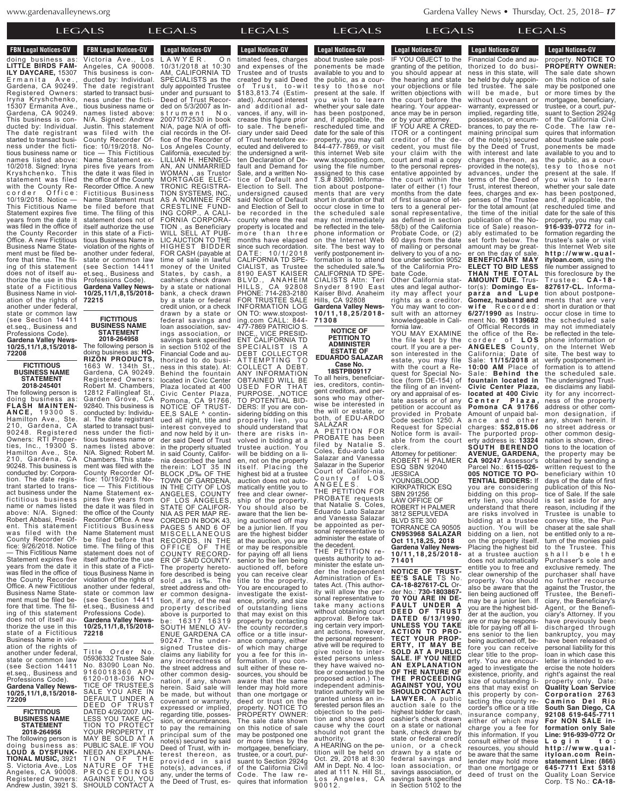ews.org business assess as: **LOUD & DYSFUNK-**

**FBN Legal Notices-GV 2018-265667**

**FICTIOUS STATE The Following person is expected** by Form in Fig.

S. Victoria Ave., Los **BUSINESS NAME**

doing business as: **LITTLE BIRDS FAM-ILY DAYCARE,** 15307 Ermanita Ave., Gardena, CA 90249. Registered Owners: Iryna Kryshchenko, 15307 Ermanita Ave., Gardena, CA 90249. This business is conducted by: Individual. The date registrant started to transact business under the fictitious business name or names listed above: 10/2018. Signed: Iryna Kryshchenko. This statement was filed with the County Recorder Office: 10/19/2018. Notice — This Fictitious Name Statement expires five years from the date it was filed in the office of the County Recorder Office. A new Fictitious Business Name Statement must be filed before that time. The filing of this statement does not of itself authorize the use in this state of a Fictitious Business Name in violation of the rights of another under federal, state or common law (see Section 14411 et.seq., Business and Professions Code). **Gardena Valley News-10/25,11/1,8,15/2018-**

**FICTITIOUS BUSINESS NAME STATEMENT**

**72208**

**2018-245401** The following person is doing business as: **FLASH MAINTEN-A N C E ,** 1 9 3 0 0 S . Hamilton Ave., Ste. 210, Gardena, CA 90248. Registered Owners: RTI Properties, Inc., 19300 S. Hamilton Ave., Ste. 210, Gardena, CA 90248. This business is conducted by: Corporation. The date registrant started to transact business under the fictitious business name or names listed above: N/A. Signed: Robert Abbasi, Presid-This statement was filed with the County Recorder Office: 9/26/2018. Notice — This Fictitious Name Statement expires five years from the date it was filed in the office of the County Recorder Office. A new Fictitious Business Name Statement must be filed before that time. The filing of this statement does not of itself authorize the use in this state of a Fictitious Business Name in violation of the rights of another under federal, state or common law (see Section 14411 et.seq., Business and Professions Code). **Gardena Valley News-**

**10/25,11/1,8,15/2018- 72209**

### **FICTITIOUS BUSINESS NAME STATEMENT 2018-264956**

The following person is doing business as: **LOUD & DYSFUNK-TIONAL MUSIC,** 3921 S. Victoria Ave., Los Angeles, CA 90008. Registered Owners: Andrew Justin, 3921 S.

**FBN Legal Notices-GV TEN LEGAL NULLES-GV** Victoria Ave., Los CA 90008. This business is conducted by: Individual. The date registrant started to transact business under the fictitious business name or names listed above: N/A. Signed: Andrew Justin. This statement was filed with the County Recorder Office: 10/19/2018. Notice — This Fictitious Name Statement expires five years from the date it was filed in the office of the County Recorder Office. A new Fictitious Business Name Statement must be filed before that time. The filing of this statement does not of itself authorize the use in this state of a Fictitious Business Name in violation of the rights of another under federal, state or common law (see Section 14411 et.seq., Business and Professions Code). **Gardena Valley News-10/25,11/1,8,15/2018- 72215**

**TIONAL MUSIC,** 3921

# **FICTITIOUS BUSINESS NAME STATEMENT 2018-264958**

The following person is<br>doing business as: **HO**doing business as: **HO-RIZON PRODUCTS,** 1663 W. 134th St., Gardena, CA 90249. Registered Owners: Robert M. Chambers, 12812 Fallingleaf St. Garden Grove, CA 92840. This business is conducted by: Individu-The date registrant started to transact business under the fictitious business name or names listed above: N/A. Signed: Robert M. Chambers. This statement was filed with the County Recorder Of-fice: 10/19/2018. Notice — This Fictitious Name Statement expires five years from the date it was filed in the office of the County Recorder Office. A new Fictitious Business Name Statement must be filed before that time. The filing of this statement does not of itself authorize the use in this state of a Fictitious Business Name in violation of the rights of another under federal, state or common law (see Section 14411 et.seq., Business and Professions Code). **Gardena Valley News-10/25,11/1,8,15/2018- 72218**

Title Order No.<br>05936332 Trustee Sale 05936332 Trustee Sale No. 83090 Loan No. 9160018360 APN 6120-018-036 NO-TICE OF TRUSTEE,S SALE YOU ARE IN DEFAULT UNDER A DEED OF TRUST DATED 4/26/2007. UN-LESS YOU TAKE AC-TION TO PROTECT YOUR PROPERTY, IT MAY BE SOLD AT A PUBLIC SALE. IF YOU NEED AN EXPLANA-TION OF THE<br>NATURE OF THE<br>PROCEEDINGS AGAINST YOU, YOU SHOULD CONTACT A

L A W Y E R . O n

**Legal Notices-GV**  $H_{\rm NLS}$ P R O C E E D I N G S **E** Legal Nutries-GV L A W Y E R . O n 10/31/2018 at 10:30 AM, CALIFORNIA TD SPECIALISTS as the duly appointed Trustee under and pursuant to Deed of Trust Recorded on 5/3/2007 as Instrument No. 20071072530 in book N/A, page N/A of official records in the Office of the Recorder of Los Angeles County, California, executed by: LILLIAN H. HENNEG-AN, AN UNMARRIED WOMAN , as Trustor MORTGAGE ELEC-TRONIC REGISTRA-TION SYSTEMS, INC., AS A NOMINEE FOR CRESTLINE FUND-ING CORP., A CALI-FORNIA CORPORA-TION , as Beneficiary WILL SELL AT PUB-LIC AUCTION TO THE HIGHEST BIDDER FOR CASH (payable at time of sale in lawful money of the United States, by cash, a cashier's check drawn by a state or national bank, a check drawn by a state or federal credit union, or a check drawn by a state or federal savings and loan association, savings association, or Angeles, CA 90008.

NEED AN EXPLANA- $T \cap \Lambda \cup \Gamma$ 

savings bank specified in section 5102 of the Financial Code and authorized to do business in this state). At: Behind the fountain located in Civic Center Plaza located at 400 Civic Center Plaza, Pomona, CA 91766, NOTICE OF TRUST-EE,S SALE ^ continued all right, title and interest conveyed to and now held by it under said Deed of Trust in the property situated in said County, California described the land therein: LOT 35 IN BLOCK "D‰ OF THE TOWN OF GARDENA, IN THE CITY OF LOS ANGELES, COUNTY OF LOS ANGELES, STATE OF CALIFOR-NIA AS PER MAP RE-CORDED IN BOOK 43, PAGES 5 AND 6 OF M IS C EL LA N E O U S RECORDS, IN THE OFFICE OF THE COUNTY RECORD-ER OF SAID COUNTY. The property heretofore described is being sold "as is‰. The street address and other common designation, if any, of the real property described above is purported to be: 16317 16319 SOUTH MENLO AV-ENUE GARDENA CA

90247. The undersigned Trustee disclaims any liability for any incorrectness of the street address and other common designation, if any, shown herein. Said sale will be made, but without covenant or warranty, expressed or implied, regarding title, possession, or encumbrances, to pay the remaining principal sum of the note(s) secured by said Deed of Trust, with interest thereon, as provided in said note(s), advances, if any, under the terms of the Deed of Trust, es-

timated fees, charges and expenses of the Trustee and of trusts created by said Deed of Trust, to-wit \$183,813.74 (Estimated). Accrued interest<br>and additional adand additional advances, if any, will increase this figure prior to sale. The beneficiary under said Deed of Trust heretofore executed and delivered to the undersigned a written Declaration of Default and Demand for Sale, and a written Notice of Default and Election to Sell. The undersigned caused said Notice of Default and Election of Sell to be recorded in the county where the real property is located and more than three months have elapsed since such recordation. DATE: 10/1/2018 CALIFORNIA TD SPE-CIALIST, as Trustee 8190 EAST KAISER BLVD., ANAHEIM HILLS, CA 92808 PHONE: 714-283-2180 FOR TRUSTEE SALE INFORMATION LOG ON TO: www.stoxposting.com CALL: 844- 477-7869 PATRICIO S. INCE,, VICE PRESID-ENT CALIFORNIA TD SPECIALIST IS A DEBT COLLECTOR ATTEMPTING TO COLLECT A DEBT. ANY INFORMATION OBTAINED WILL BE USED FOR THAT PURPOSE. "NOTICE TO POTENTIAL BID-DERS: If you are considering bidding on this property lien, you should understand that there are risks involved in bidding at a<br>trustee auction. You trustee auction. will be bidding on a lien, not on the property itself. Placing the highest bid at a trustee auction does not automatically entitle you to free and clear ownership of the property. You should also be aware that the lien being auctioned off may be a junior lien. If you are the highest bidder at the auction, you are or may be responsible for paying off all liens senior to the lien being auctioned off, before you can receive clear title to the property. You are encouraged to investigate the existence, priority, and size of outstanding liens that may exist on this property by contacting the county recorder,s office or a title insurance company, either of which may charge you a fee for this information. If you consult either of these resources, you should be aware that the same lender may hold more than one mortgage or deed or trust on the property. NOTICE TO PROPERTY OWNER: The sale date shown on this notice of sale may be postponed one or more times by the mortgagee, beneficiary, trustee, or a court, pursuant to Section 2924g of the California Civil<br>Code. The law requires that information

**Legal Notices-GV** 

Deed of Trust, with in $t \in C$   $\Delta t C$ LEGALS note(s), advances, if Legal Nutices-GV

LEGALS LEGALS LEGALS LEGALS LEGALS LEGALS **Legal Notices-GV** LEGALS of the California Civil Legal Nutries av about trustee sale postponements be made available to you and to the public, as a courtesy to those not present at the sale. If vou wish to learn whether your sale date has been postponed, and, if applicable, the rescheduled time and date for the sale of this property, you may call 844-477-7869, or visit this internet Web site www.stoxposting.com, using the file number assigned to this case T.S.# 83090. Information about postponements that are very short in duration or that occur close in time to the scheduled sale may not immediately be reflected in the telephone information or on the Internet Web site. The best way to verify postponement information is to attend the scheduled sale.‰ CALIFORNIA TD SPE-CIALISTS Attn: Teri Snyder 8190 East Kaiser Blvd. Anaheim Hills, CA 92808 **Gardena Valley News-1 0 / 1 1 , 1 8 , 2 5 / 2 0 1 8 - 7 1 3 0 8 NOTICE OF PETITION TO**

mortgagee, beneficiary,  $\overline{t}$  transfer

**ADMINISTER ESTATE OF EDUARDO SALAZAR**

**Case No. 18STPB09117** To all heirs, beneficiaries, creditors, contingent creditors, and persons who may otherwise be interested in the will or estate, or both, of EDU-ARDO SALAZAR A PETITION FOR PROBATE has been filed by Natalie S. Coles, Edu-ardo Lato Salazar and Vanessa Salazar in the Superior Court of Califor-nia,

County of LOS A N G E L E S . THE PETITION FOR PROBATE requests that Natalie S. Coles, Eduardo Lato Salazar and Vanessa Salazar be appointed as personal representative to administer the estate of the decedent.

THE PETITION requests authority to administer the estate under the Independent Administration of Estates Act. (This author-ity will allow the personal representative to take many actions without obtaining court approval. Before taking certain very important actions, however, the personal representative will be required to give notice to interested persons unless they have waived notice or consented to the proposed action.) The independent administration authority will be granted unless an interested person files an objection to the petition and shows good cause why the court should not grant the authority. A HEARING on the pe-

tition will be held on Oct. 29, 2018 at 8:30 AM in Dept. No. 4 located at 111 N. Hill St., Los Angeles, CA  $90012.$ 

www.gardenavalleynews.org **Gardena Valley News • Thursday, Oct. 25, 2018**– 17 , Oct. 25, 2018– **1**7 state or federal credit Gardena Valley News • Thursda

drawn by a state or federal savings and  $\mathbf{r}$ s LEC savings association, or

tition will be held on  $\overline{\phantom{a}}$   $\overline{\phantom{a}}$ am de Departement de la poste de la poste de la poste de la poste de la poste de la poste de la poste de la po<br>De la poste de la poste de la poste de la poste de la poste de la poste de la poste de la poste de la poste de ated at 111 N. Hill St., and the 111 N. Hill St., and the 111 N. Hill St., and the 111 N. Hill St., and the 1

or by your attorney.

bate Code.

fornia law.

clerk.

Attorney for petitioner:

ESQ SBN 92040 JESSICA YOUNGBLOOD KIRKPATRICK ESQ SBN 291256 LAW OFFICE OF ROBERT H PALMER 3812 SEPULVEDA BLVD STE 300

**Oct 11,18,25, 2018**

in Section 5102 to the

**7 1 4 0 1**

**Leyal NU** 

**Legal Notices-GV** 

deed of trust on the property. **NOTICE TO PROPERTY OWNER:**

consult either of these  $r_{\rm c}$  is shown in the shock of  $\sim$ als that the same lender may hold more

**Legal Notices-GV** Legal Nutrices-GV Financial Code and authorized to do business in this state, will be held by duly appointed trustee. The sale will be made, but without covenant or warranty, expressed or implied, regarding title, possession, or encumbrances, to pay the remaining principal sum of the note(s) secured by the Deed of Trust, with interest and late charges thereon, as provided in the note(s), advances, under the terms of the Deed of Trust, interest thereon, fees, charges and expenses of the Trustee for the total amount (at the time of the initial publication of the Notice of Sale) reasonestimated to be set forth below. The amount may be greater on the day of sale. **BENEFICIARY MAY ELECT TO BID LESS THAN THE TOTAL AMOUNT DUE.** Trustor(s): **Domingo Esp a r z a a n d L u p e Gomez, husband and w i f e** R e c o r d e d : **6/27/1990** as Instrument No. **90 1139682** of Official Records in the office of the Re-c o r d e r o f **L O S ANGELES** County, California; Date of Sale: **11/15/2018** at **10:00 AM** Place of Sa l e: **Behind the fountain located in Civic Center Plaza, located at 400 Civic C e n t e r P l a z a , Pomona CA 91766** Amount of unpaid balance and other charges: **\$52,815.06** The purported prop-erty address is: **13324 SOUTH BERENDO AVENUE, GARDENA, CA 90247** Assessor's Parcel No.: **6115-026- 005 NOTICE TO PO-TENTIAL BIDDERS:** If you are considering bidding on this property lien, you should understand that there are risks involved in bidding at a trustee auction. You will be bidding on a lien, not on the property itself. Placing the highest bid at a trustee auction does not automatically entitle you to free and clear ownership of the property. You should also be aware that the lien being auctioned off may be a junior lien. If you are the highest bidder at the auction, you are or may be responsible for paying off all liens senior to the lien being auctioned off, before you can receive clear title to the property. You are encouraged to investigate the existence, priority, and size of outstanding liens that may exist on this property by contacting the county recorder's office or a title insurance company, either of which may charge you a fee for this information. If you consult either of these resources, you should be aware that the same lender may hold more than one mortgage or deed of trust on the **Legal Notices-GV** IF YOU OBJECT to the granting of the petition, you should appear at the hearing and state your objections or file written objections with the court before the hearing. Your appearance may be in person IF YOU ARE A CRED-ITOR or a contingent creditor of the decedent, you must file your claim with the court and mail a copy to the personal representative appointed by the court within the later of either (1) four months from the date of first issuance of letters to a general personal representative. as defined in section 58(b) of the California Probate Code, or (2) 60 days from the date of mailing or personal delivery to you of a notice under section 9052 of the California Pro-Other California statutes and legal authority may affect your rights as a creditor. You may want to consult with an attorney knowledgeable in Cali-YOU MAY EXAMINE the file kept by the court. If you are a person interested in the estate, you may file with the court a Request for Special Notice (form DE-154) of the filing of an inventory and appraisal of estate assets or of any petition or account as provided in Probate Code section 1250. A Request for Special Notice form is available from the court ROBERT H PALMER TORRANCE CA 90505 **CN953968 SALAZAR Gardena Valley News-1 0 / 1 1 , 1 8 , 2 5 / 2 0 1 8 - NOTICE OF TRUST-EE'S SALE** TS No. **CA-18-827617-CL** Order No.: **730-1803867- 70 YOU ARE IN DE-FAULT UNDER A DEED OF TRUST DATED 6/13/1990. UNLESS YOU TAKE ACTION TO PRO-TECT YOUR PROP-ERTY, IT MAY BE SOLD AT A PUBLIC SALE. IF YOU NEED AN EXPLANATION OF THE NATURE OF THE PROCEEDING AGAINST YOU, YOU SHOULD CONTACT A LAWYER.** A public auction sale to the highest bidder for cash, cashier's check drawn on a state or national bank, check drawn by state or federal credit union, or a check drawn by a state or federal savings and loan association, or savings association, or savings bank specified

The sale date shown on this notice of sale may be postponed one or more times by the mortgagee, beneficiary, trustee, or a court, pursuant to Section 2924g of the California Civil Code. The law requires that information about trustee sale postponements be made available to you and to the public, as a courtesy to those not present at the sale. If you wish to learn whether your sale date has been postponed, and, if applicable, the rescheduled time and date for the sale of this property, you may call **916-939-0772** for information regarding the trustee's sale or visit this Internet Web site **h t t p : / / w w w . q u a l ityloan.com**, using the file number assigned to this foreclosure by the T r u s t e e : **C A - 1 8 - 827617-CL.** Information about postponements that are very short in duration or that occur close in time to the scheduled sale may not immediately be reflected in the telephone information or on the Internet Web site. The best way to verify postponement information is to attend the scheduled sale. The undersigned Trustee disclaims any liability for any incorrectness of the property address or other common designation, if any, shown herein. If no street address or other common designation is shown, directions to the location of the property may be obtained by sending a written request to the beneficiary within 10 days of the date of first publication of this Notice of Sale. If the sale is set aside for any reason, including if the Trustee is unable to convey title, the Purchaser at the sale shall be entitled only to a return of the monies paid to the Trustee. This shall be the Purchaser's sole and exclusive remedy. The purchaser shall have no further recourse against the Trustor, the Trustee, the Beneficiary, the Beneficiary's Agent, or the Beneficiary's Attorney. If you have previously been discharged through bankruptcy, you may have been released of personal liability for this loan in which case this letter is intended to exercise the note holders right's against the real property only. Date: **Quality Loan Service Corporation 2763 C a m i n o D e l R i o South San Diego, CA 92108 619-645-7711 For NON SALE information only Sale Line: 916-939-0772 Or L o g i n t o : h t t p : / / w w w . q u a l ityloan.com Reinstatement Line: (866) 645-7711 Ext 5318 Quality Loan Service<br>Corp. TS No.: <b>CA-18-**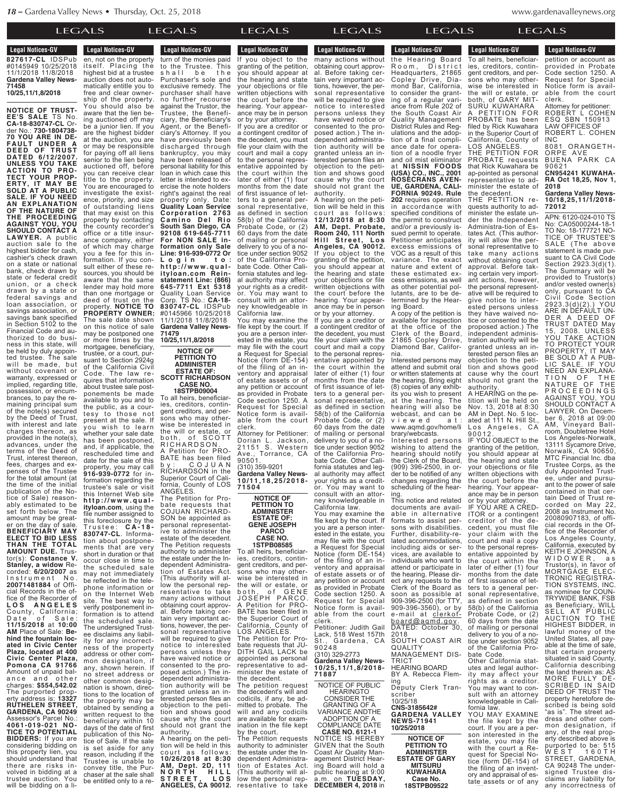**Legal Notices-GV** 

 $\mathbf{A} \mathbf{B} \mathbf{C}$ there is no vertex in  $\mathsf{L}$ volved in bidding at a

 $L$ egal Notices-GV **827617-CL** IDSPub #0145949 10/25/2018 11/1/2018 11/8/2018 **Gardena Valley News-71458 10/25,11/1,8/2018**

**ityloan.com Reinstatement Line: (866) 645-7711 Ext 5318**

**NOTICE OF TRUST-EE'S SALE** TS No. **CA-18-830747-CL** Order No.: **730-1804738- 70 YOU ARE IN DE-FAULT UNDER A DEED OF TRUST DATED 6/12/2007. UNLESS YOU TAKE ACTION TO PRO-TECT YOUR PROP-ERTY, IT MAY BE SOLD AT A PUBLIC SALE. IF YOU NEED AN EXPLANATION OF THE NATURE OF THE PROCEEDING AGAINST YOU, YOU SHOULD CONTACT A LAWYER.** A public auction sale to the highest bidder for cash cashier's check drawn on a state or national bank, check drawn by state or federal credit union, or a check drawn by a state or federal savings and loan association, or savings association, or savings bank specified in Section 5102 to the Financial Code and authorized to do business in this state, will be held by duly appointed trustee. The sale will be made, but without covenant or warranty, expressed or implied, regarding title, possession, or encumbrances, to pay the remaining principal sum of the note(s) secured by the Deed of Trust, with interest and late charges thereon, as provided in the note(s), advances, under the terms of the Deed of Trust, interest thereon, fees, charges and expenses of the Trustee for the total amount (at the time of the initial publication of the Notice of Sale) reasonably estimated to be set forth below. The amount may be greater on the day of sale. **BENEFICIARY MAY ELECT TO BID LESS THAN THE TOTAL AMOUNT DUE.** Trustor(s): **Constance V. Stanley, a widow** Recorded: **6/20/2007** as I n s t r u m e n t N o . **20071481884** of Official Records in the office of the Recorder of<br> $I \cap S$   $A \cup B \subseteq I$   $F S$ **L O S A N G E L E S** County, California; D a t e o f S a l e : **11/15/2018** at **10:00 AM** Place of Sale: **Behind the fountain located in Civic Center Plaza, located at 400 Civic Center Plaza, Pomona CA 91766** Amount of unpaid bal-<br>ance and other a n c e a n d o t h e r charges: **\$554,542.02** The purported prop-<br>erty address is: 13327 erty address is: **13327 RUTHELEN STREET, GARDENA, CA 90249** Assessor's Parcel No.: **4061-019-021 NO-TICE TO POTENTIAL BIDDERS:** If you are considering bidding on this property lien, you should understand that there are risks involved in bidding at a trustee auction. You will be bidding on a li-

#### **Legal Nutiles-GV** turn of the monies paid to the Trustee. This shall be the Purchaser's sole and exclusive remedy. The purchaser shall have no further recourse against the Trustor, the Trustee, the Beneficiary, the Beneficiary's Agent, or the Beneficiary's Attorney. If you have previously been discharged through bankruptcy, you may have been released of personal liability for this loan in which case this letter is intended to exercise the note holders right's against the real property only. Date: **Quality Loan Service Corporation 2763 C a m i n o D e l R i o South San Diego, CA 92108 619-645-7711 For NON SALE information only Sale Line: 916-939-0772 Or L o g i n t o : h t t p : / / w w w . q u a l ityloan.com Reinstatement Line: (866) 645-7711 Ext 5318** Quality Loan Service Corp. TS No.: **CA-18- 830747-CL** IDSPub #0145966 10/25/2018 11/1/2018 11/8/2018 **Gardena Valley News-71479 10/25,11/1,8/2018 NOTICE OF PETITION TO ADMINISTER ESTATE OF:** Legal notices-cry en, not on the property itself. Placing the highest bid at a trustee auction does not automatically entitle you to free and clear ownership of the property. You should also be aware that the lien being auctioned off may be a junior lien. If you are the highest bidder at the auction, you are or may be responsible for paying off all liens senior to the lien being auctioned off, before you can receive clear title to the property. You are encouraged to investigate the existence, priority, and size of outstanding liens that may exist on this property by contacting the county recorder's office or a title insurance company, either of which may charge you a fee for this information. If you consult either of these resources, you should be aware that the same lender may hold more than one mortgage or deed of trust on the property. **NOTICE TO PROPERTY OWNER:** The sale date shown on this notice of sale may be postponed one or more times by the mortgagee, beneficiary, trustee, or a court, pursuant to Section 2924g of the California Civil

**SCOTT RICHARDSON** To all heirs, beneficiaries, creditors, contingent creditors, and persons who may otherwise be interested in the will or estate, or both, of SCOTT R I C H A R D S O N . A Petition for PRO-BATE has been filed b y : C O J U A N RICHARDSON in the Superior Court of California, County of LOS ANGELES. The Petition for Probate requests that COJUAN RICHARD-SON be appointed as personal representative to administer the estate of the decedent. The Petition requests authority to administer the estate under the Independent Administration of Estates Act. (This authority will allow the personal rep-resentative to take many actions without obtaining court approval. Before taking certain very important actions, however, the personal representative will be required to give notice to interested persons unless they have waived notice or consented to the proposed action.) The independent administration authority will be granted unless an interested person files an objection to the petition and shows good cause why the court should not grant the authority. A hearing on the petition will be held in this court as follows: **10/26/2018 at 8:30 AM, Dept. 2D, 111 N O R T H H I L L S T R E E T , L O S ANGELES, CA 90012.** Code. The law requires that information about trustee sale postponements be made available to you and to the public, as a courtesy to those not present at the sale. If you wish to learn whether your sale date has been postponed, and, if applicable, the rescheduled time and date for the sale of this property, you may call **916-939-0772** for information regarding the trustee's sale or visit this Internet Web site **h t t p : / / w w w . q u a l ityloan.com**, using the file number assigned to this foreclosure by the T r u s t e e : **C A - 1 8 - 830747-CL**. Information about postponements that are very short in duration or that occur close in time to the scheduled sale may not immediately be reflected in the tele-phone information or on the Internet Web site. The best way to verify postponement information is to attend the scheduled sale. The undersigned Trustee disclaims any liability for any incorrectness of the property address or other common designation, if any, shown herein. If street address or other common designation is shown, directions to the location of the property may be obtained by sending a written request to the beneficiary within 10 days of the date of first publication of this Notice of Sale. If the sale is set aside for any reason, including if the Trustee is unable to convey title, the Purchaser at the sale shall be entitled only to a return of the monies paid

 $\overline{\phantom{a}}$  **Legal Notices-GV N O R T H H I L L ANGELES CALCEL** If you object to the granting of the petition, you should appear at the hearing and state your objections or file written objections with the court before the hearing. Your appearance may be in person or by your attorney.

**Legal Notices-GV** 

**CASE NO. 18STPB09004**

 $r_{\rm c}$  and  $r_{\rm c}$  $T_{\rm T}$ uable is una ble total is unable total is unable to  $T_{\rm T}$ convey title, the Purc o u rt a s f o l o w s f o w s i l o w s i l o w s i l o w s i l o w s i l o w s i l o w s i l o w s i l o w **10/26/2018 at 8:30** LEGALS

If you are a creditor or a contingent creditor of the decedent, you must file your claim with the court and mail a copy to the personal representative appointed by the court within the later of either (1) four months from the date of first issuance of letters to a general personal representative, as defined in section 58(b) of the California Probate Code, or (2) 60 days from the date of mailing or personal delivery to you of a notice under section 9052 of the California Probate Code. Other California statutes and legal authority may affect your rights as a creditor. You may want to consult with an attorney knowledgeable in California law.

You may examine the file kept by the court. If you are a person interested in the estate, you may file with the court a Request for Special Notice (form DE-154) of the filing of an inventory and appraisal of estate assets or of any petition or account as provided in Probate Code section 1250. A Request for Special Notice form is available from the court clerk. Attorney for Petitioner:

Dorian L. Jackson, 21151 S. Western Ave., Torrance, CA 90501.

(310) 359-9201 **Gardena Valley News-1 0 / 1 1 , 1 8 , 2 5 / 2 0 1 8 - 7 1 5 0 4**

> **NOTICE OF PETITION TO ADMINISTER ESTATE OF: GENE JOSEPH PARCO CASE NO.**

**1STPB08585** To all heirs, beneficiar-

ies, creditors, contingent creditors, and persons who may otherwise be interested in<br>the will or estate, or both, of GENE JOSEPH PARCO. A Petition for PRO-BATE has been filed in the Superior Court of California, County of LOS ANGELES. The Petition for Probate requests that JU-DITH GAIL LACK be appointed as personal representative to administer the estate of the decedent. The petition request the decedent's will and codicils, if any, be admitted to probate. The will and any codicils are available for examination in the file kept

by the court. The Petition requests authority to administer the estate under the Independent Administration of Estates Act. (This authority will allow the personal representative to take many actions without

**Legal Notices-GV** LEGALS (This authority will al-Legal Nutries-GV many actions without obtaining court approval. Before taking certain very important actions, however, the personal representative will be required to give notice to interested persons unless they have waived notice or consented to the proposed action.) The independent administration authority will be granted unless an interested person files an objection to the petition and shows good cause why the court

the estate under the In- $\overline{\phantom{a}}$  dependent Administration

should not grant the authority. A hearing on the petition will be held in this c o u rt a s f o l l o w s : **12/13/2018 at 8:30 AM, Dept. Probate, Room 240, 111 North H i l l S tr e e t , L o s Angeles, CA 90012.** If you object to the granting of the petition, you should appear at the hearing and state your objections or file written objections with the court before the hearing. Your appearance may be in person or by your attorney.

If you are a creditor or a contingent creditor of the decedent, you must file your claim with the court and mail a copy to the personal representative appointed by the court within the later of either (1) four months from the date of first issuance of letters to a general personal representative, as defined in section 58(b) of the California Probate Code, or (2) 60 days from the date of mailing or personal delivery to you of a notice under section 9052 of the California Probate Code. Other California statutes and legal authority may affect your rights as a creditor. You may want to consult with an attorney knowledgeable in

California law. You may examine the file kept by the court. If you are a person interested in the estate, you may file with the court a Request for Special Notice (form DE-154) of the filing of an inventory and appraisal of estate assets or of any petition or account as provided in Probate Code section 1250. A Request for Special Notice form is available from the court clerk. Petitioner: Judith Gail

Lack, 518 West 157th St., Gardena, CA 9 0 2 4 8 (310) 329-2773 **Gardena Valley News-10/25,11/1,8/2018- 71887**

NOTICE OF PUBLIC HEARINGTO CONSIDER THE

GRANTING OF A VARIANCE ANDTHE ADOPTION OF A COMPLIANCE DATE

**CASE NO. 6121-1** NOTICE IS HEREBY GIVEN that the South Coast Air Quality Management District Hearing Board will hold a public hearing at 9:00 a.m. on **TUESDAY, DECEMBER 4, <sup>2018</sup>** in

the Hearing Board

gent creditors, and persons who may otherwise be interested in the will or estate, or both, of GARY MIT-SURU KUWAHARA PROBATE has been filed by Rick Kuwahara in the Superior Court of California, County of LOS ANGELES. THE PETITION FOR PROBATE requests that Rick Kuwahara be ap-pointed as personal representative to administer the estate of the decedent. THE PETITION requests authority to administer the estate under the Independent Administra-tion of Estates Act. (This authority will allow the personal representative to take many actions without obtaining court approval. Before taking certain very important actions, however, the personal representative will be required to give notice to inter**a.m. b.**<br>**a.m. on** *Legal Notices-GV* **Legal Nutries-GV** the Hearing Board Room, District Headquarters, 21865 Copley Drive, Diamond Bar, California, to consider the granting of a regular variance from Rule 202 of the South Coast Air Quality Management District Rules and Regulations and the adoption of a final compliance date for operation of a noodle fryer and oil mist eliminator at **NISSIN FOODS (USA) CO., INC., 2001 ROSECRANS AVEN-UE, GARDENA, CALI-FORNIA 90249. Rule 202** requires operation in accordance with specified conditions of the permit to construct and/or a previously issued permit to operate. Petitioner anticipates excess emissions of VOC as a result of this variance. The exact nature and extent of these estimated excess emissions, as well as other potential pollutants, are to be determined by the Hear-

Coast Air Quality Man- $\overline{\phantom{a}}$  and  $\overline{\phantom{a}}$ ing Board will have been public hearing at 9:00

ing Board. A copy of the petition is available for inspection at the office of the Clerk of the Board, 21865 Copley Drive, Diamond Bar, California.

Interested persons may attend and submit oral or written statements at the hearing. Bring eight (8) copies of any exhibits you wish to present at the hearing. The hearing will also be webcast, and can be viewed at www.aqmd.gov/home/li brary/webcasts.

Interested persons wishing to attend the hearing should notify the Clerk of the Board, (909) 396-2500, in order to be notified of any changes regarding the scheduling of the hearing. This notice and related

to the personal represof first issuance of letas defined in section 60 days from the date bate Code. documents are available in alternative formats to assist persons with disabilities. Further, disability-related accommodations, including aids or services, are available to individuals who want to attend or participate in the hearing. Please direct any requests to the Clerk of the Board as soon as possible at 909-396-2500 (for TTY, 909-396-3560), or by e-mail at <u>clerkof-</u> <u>board@aqmd.gov</u>. DATED: October 30, 2018 SOUTH COAST AIR QUALITY MANAGEMENT DIS-TRICT HEARING BOARD BY A. Rebecca Fleming Deputy Clerk Transcriber

10/25/18 **CNS-3185642# GARDENA VALLEY NEWS-71941 10/25/2018**

**NOTICE OF PETITION TO ADMINISTER ESTATE OF GARY MITSURU KUWAHARA Case No. 18STPB09522**

son interested in the www.gardenavalleynews.org with the court and court a Re-**ADMINISTER**

LEGALS LEGALS LEGALS LEGALS LEGALS LEGALS  $\Delta$  He  $\sim$  Special No- $\bf{t}$   $\bf{t}$ **ESTATE OF GARY**

**KUWAHARAA** 

A PETITION FOR

ested persons unless they have waived notice or consented to the proposed action.) The independent administration authority will be granted unless an interested person files an objection to the petition and shows good cause why the court should not grant the

A HEARING on the petition will be held on Nov. 13, 2018 at 8:30 AM in Dept. No. 5 located at 111 N. Hill St., Los Angeles, CA

IF YOU OBJECT to the granting of the petition, you should appear at the hearing and state your objections or file written objections with the court before the hearing. Your appearance may be in person or by your attorney. IF YOU ARE A CRED-ITOR or a contingent creditor of the decedent, you must file your claim with the court and mail a copy

entative appointed by the court within the later of either (1) four months from the date

ters to a general personal representative,

58(b) of the California Probate Code, or (2)

of mailing or personal delivery to you of a notice under section 9052 of the California Pro-

Other California statutes and legal authority may affect your rights as a creditor. You may want to consult with an attorney knowledgeable in Cali-

YOU MAY EXAMINE the file kept by the court. If you are a person interested in the estate, you may file with the court a Request for Special Notice (form DE-154) of the filing of an inventory and appraisal of estate assets or of any

fornia law.

authority.

9 0 0 1 2 .

**Legal Notices-GV Legal Nutries-GV** petition or account as provided in Probate **Legal Notices-GV Case No.** al Nullces-GV To all heirs, beneficiaries, creditors, contin-

Code section 1250. A Request for Special Notice form is available from the court clerk. Attorney for petitioner:

the filing of an invent-

ROBERT L COHEN ESQ SBN 150913 LAW OFFICES OF ROBERT L. COHEN

INC 8081 ORANGETH-ORPE AVE BUENA PARK CA

9 0 6 2 1 **CN954241 KUWAHA-RA Oct 18,25, Nov 1, 2018**

**Gardena Valley News-10/18,25,11/1/2018- 72012**

APN: 6120-024-010 TS

No: CA05000244-18-1 TO No: 18-177721 NO-TICE OF TRUSTEE'S SALE (The above statement is made pursuant to CA Civil Code Section 2923.3(d)(1). The Summary will be provided to Trustor(s) and/or vested owner(s) only, pursuant to CA Civil Code Section 2923.3(d)(2).) YOU ARE IN DEFAULT UN-DER A DEED OF TRUST DATED May 15, 2008. UNLESS YOU TAKE ACTION TO PROTECT YOUR PROPERTY, IT MAY BE SOLD AT A PUB-LIC SALE. IF YOU NEED AN EXPLANA-TION OF THE NATURE OF THE P R O C E E D I N G S AGAINST YOU, YOU SHOULD CONTACT A LAWYER. On December 6, 2018 at 09:00 AM, Vineyard Ballroom, Doubletree Hotel Los Angeles-Norwalk, 13111 Sycamore Drive, Norwalk, CA 90650, MTC Financial Inc. dba Trustee Corps, as the duly Appointed Trustee, under and pursuant to the power of sale contained in that certain Deed of Trust recorded on May 22, 2008 as Instrument No. 20080907183, of official records in the Office of the Recorder of Los Angeles County, California, executed by KEITH E JOHNSON, A W I D O W E R, as Trustor(s), in favor of MORTGAGE ELEC-TRONIC REGISTRA-TION SYSTEMS, INC. as nominee for COUN-TRYWIDE BANK, FSB as Beneficiary, WILL SELL AT PUBLIC AUCTION TO THE HIGHEST BIDDER, in lawful money of the United States, all payable at the time of sale, that certain property situated in said County California describing the land therein as: AS MORE FULLY DE-SCRIBED IN SAID DEED OF TRUST The property heretofore described is being sold 'as is". The street address and other common designation, if

any, of the real property described above is purported to be: 515 W E S T 1 6 0 T H STREET, GARDENA, CA 90248 The undersigned Trustee disclaims any liability for any incorrectness of